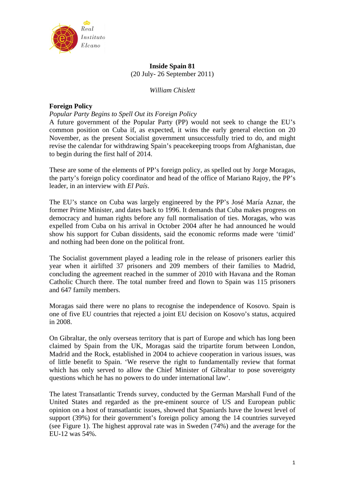

# **Inside Spain 81**  (20 July- 26 September 2011)

*William Chislett* 

# **Foreign Policy**

## *Popular Party Begins to Spell Out its Foreign Policy*

A future government of the Popular Party (PP) would not seek to change the EU's common position on Cuba if, as expected, it wins the early general election on 20 November, as the present Socialist government unsuccessfully tried to do, and might revise the calendar for withdrawing Spain's peacekeeping troops from Afghanistan, due to begin during the first half of 2014.

These are some of the elements of PP's foreign policy, as spelled out by Jorge Moragas, the party's foreign policy coordinator and head of the office of Mariano Rajoy, the PP's leader, in an interview with *El País*.

The EU's stance on Cuba was largely engineered by the PP's José María Aznar, the former Prime Minister, and dates back to 1996. It demands that Cuba makes progress on democracy and human rights before any full normalisation of ties. Moragas, who was expelled from Cuba on his arrival in October 2004 after he had announced he would show his support for Cuban dissidents, said the economic reforms made were 'timid' and nothing had been done on the political front.

The Socialist government played a leading role in the release of prisoners earlier this year when it airlifted 37 prisoners and 209 members of their families to Madrid, concluding the agreement reached in the summer of 2010 with Havana and the Roman Catholic Church there. The total number freed and flown to Spain was 115 prisoners and 647 family members.

Moragas said there were no plans to recognise the independence of Kosovo. Spain is one of five EU countries that rejected a joint EU decision on Kosovo's status, acquired in 2008.

On Gibraltar, the only overseas territory that is part of Europe and which has long been claimed by Spain from the UK, Moragas said the tripartite forum between London, Madrid and the Rock, established in 2004 to achieve cooperation in various issues, was of little benefit to Spain. 'We reserve the right to fundamentally review that format which has only served to allow the Chief Minister of Gibraltar to pose sovereignty questions which he has no powers to do under international law'.

The latest Transatlantic Trends survey, conducted by the German Marshall Fund of the United States and regarded as the pre-eminent source of US and European public opinion on a host of transatlantic issues, showed that Spaniards have the lowest level of support (39%) for their government's foreign policy among the 14 countries surveyed (see Figure 1). The highest approval rate was in Sweden (74%) and the average for the EU-12 was 54%.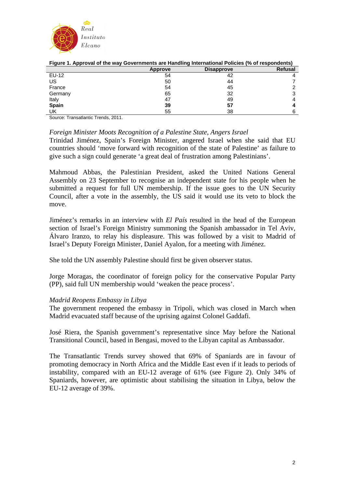

| rigule 1. Apploval of the way Governments are nahuling international Follcies (76 Of respondents) |         |                   |         |  |  |  |
|---------------------------------------------------------------------------------------------------|---------|-------------------|---------|--|--|--|
|                                                                                                   | Approve | <b>Disapprove</b> | Refusal |  |  |  |
| EU-12                                                                                             | 54      | 42                |         |  |  |  |
| US                                                                                                | 50      | 44                |         |  |  |  |
| France                                                                                            | 54      | 45                |         |  |  |  |
| Germany                                                                                           | 65      | 32                |         |  |  |  |
| Italy                                                                                             | 47      | 49                |         |  |  |  |
| <b>Spain</b>                                                                                      | 39      | 57                |         |  |  |  |
| UK                                                                                                | 55      | 38                |         |  |  |  |
| $\sim$<br>$\mathbf{r}$ , $\mathbf{r}$ , $\mathbf{r}$ , $\mathbf{r}$<br>----                       |         |                   |         |  |  |  |

| Figure 1. Approval of the way Governments are Handling International Policies (% of respondents) |  |
|--------------------------------------------------------------------------------------------------|--|
|--------------------------------------------------------------------------------------------------|--|

Source: Transatlantic Trends, 2011.

## *Foreign Minister Moots Recognition of a Palestine State, Angers Israel*

Trinidad Jiménez, Spain's Foreign Minister, angered Israel when she said that EU countries should 'move forward with recognition of the state of Palestine' as failure to give such a sign could generate 'a great deal of frustration among Palestinians'.

Mahmoud Abbas, the Palestinian President, asked the United Nations General Assembly on 23 September to recognise an independent state for his people when he submitted a request for full UN membership. If the issue goes to the UN Security Council, after a vote in the assembly, the US said it would use its veto to block the move.

Jiménez's remarks in an interview with *El País* resulted in the head of the European section of Israel's Foreign Ministry summoning the Spanish ambassador in Tel Aviv, Álvaro Iranzo, to relay his displeasure. This was followed by a visit to Madrid of Israel's Deputy Foreign Minister, Daniel Ayalon, for a meeting with Jiménez.

She told the UN assembly Palestine should first be given observer status.

Jorge Moragas, the coordinator of foreign policy for the conservative Popular Party (PP), said full UN membership would 'weaken the peace process'.

## *Madrid Reopens Embassy in Libya*

The government reopened the embassy in Tripoli, which was closed in March when Madrid evacuated staff because of the uprising against Colonel Gaddafi.

José Riera, the Spanish government's representative since May before the National Transitional Council, based in Bengasi, moved to the Libyan capital as Ambassador.

The Transatlantic Trends survey showed that 69% of Spaniards are in favour of promoting democracy in North Africa and the Middle East even if it leads to periods of instability, compared with an EU-12 average of 61% (see Figure 2). Only 34% of Spaniards, however, are optimistic about stabilising the situation in Libya, below the EU-12 average of 39%.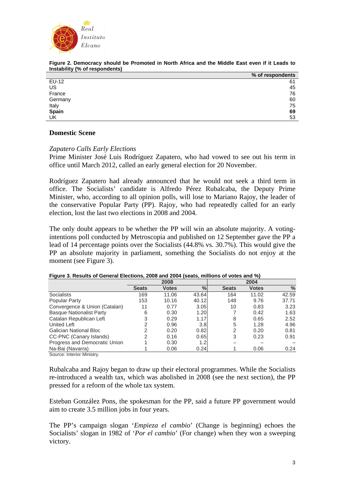

| % of respondents |
|------------------|
| 61               |
| 45               |
| 76               |
| 60               |
| 75               |
| 69               |
| 53               |
|                  |

#### **Figure 2. Democracy should be Promoted in North Africa and the Middle East even if it Leads to Instability (% of respondents)**

## **Domestic Scene**

### *Zapatero Calls Early Elections*

Prime Minister José Luis Rodríguez Zapatero, who had vowed to see out his term in office until March 2012, called an early general election for 20 November.

Rodríguez Zapatero had already announced that he would not seek a third term in office. The Socialists' candidate is Alfredo Pérez Rubalcaba, the Deputy Prime Minister, who, according to all opinion polls, will lose to Mariano Rajoy, the leader of the conservative Popular Party (PP). Rajoy, who had repeatedly called for an early election, lost the last two elections in 2008 and 2004.

The only doubt appears to be whether the PP will win an absolute majority. A votingintentions poll conducted by Metroscopia and published on 12 September gave the PP a lead of 14 percentage points over the Socialists (44.8% vs. 30.7%). This would give the PP an absolute majority in parliament, something the Socialists do not enjoy at the moment (see Figure 3).

| -                               |              |              |       |              |              |       |
|---------------------------------|--------------|--------------|-------|--------------|--------------|-------|
|                                 | 2008         |              |       |              | 2004         |       |
|                                 | <b>Seats</b> | <b>Votes</b> | %     | <b>Seats</b> | <b>Votes</b> | $\%$  |
| <b>Socialists</b>               | 169          | 11.06        | 43.64 | 164          | 11.02        | 42.59 |
| Popular Party                   | 153          | 10.16        | 40.12 | 148          | 9.76         | 37.71 |
| Convergence & Union (Catalan)   | 11           | 0.77         | 3.05  | 10           | 0.83         | 3.23  |
| <b>Basque Nationalist Party</b> | 6            | 0.30         | 1.20  |              | 0.42         | 1.63  |
| Catalan Republican Left         | 3            | 0.29         | 1.17  | 8            | 0.65         | 2.52  |
| <b>United Left</b>              | 2            | 0.96         | 3.8   | 5            | 1.28         | 4.96  |
| Galician National Bloc          | 2            | 0.20         | 0.82  | 2            | 0.20         | 0.81  |
| CC-PNC (Canary Islands)         | 2            | 0.16         | 0.65  | 3            | 0.23         | 0.91  |
| Progress and Democratic Union   |              | 0.30         | 1.21  |              |              |       |
| Na-Bai (Navarra)                |              | 0.06         | 0.24  |              | 0.06         | 0.24  |
| Carrosar Intenten Minister      |              |              |       |              |              |       |

### **Figure 3. Results of General Elections, 2008 and 2004 (seats, millions of votes and %)**

Source: Interior Ministry.

Rubalcaba and Rajoy began to draw up their electoral programmes. While the Socialists re-introduced a wealth tax, which was abolished in 2008 (see the next section), the PP pressed for a reform of the whole tax system.

Esteban González Pons, the spokesman for the PP, said a future PP government would aim to create 3.5 million jobs in four years.

The PP's campaign slogan '*Empieza el cambio*' (Change is beginning) echoes the Socialists' slogan in 1982 of '*Por el cambio*' (For change) when they won a sweeping victory.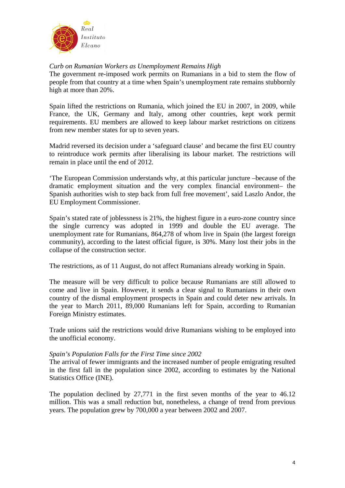

# *Curb on Rumanian Workers as Unemployment Remains High*

The government re-imposed work permits on Rumanians in a bid to stem the flow of people from that country at a time when Spain's unemployment rate remains stubbornly high at more than 20%.

Spain lifted the restrictions on Rumania, which joined the EU in 2007, in 2009, while France, the UK, Germany and Italy, among other countries, kept work permit requirements. EU members are allowed to keep labour market restrictions on citizens from new member states for up to seven years.

Madrid reversed its decision under a 'safeguard clause' and became the first EU country to reintroduce work permits after liberalising its labour market. The restrictions will remain in place until the end of 2012.

'The European Commission understands why, at this particular juncture –because of the dramatic employment situation and the very complex financial environment– the Spanish authorities wish to step back from full free movement', said Laszlo Andor, the EU Employment Commissioner.

Spain's stated rate of joblessness is 21%, the highest figure in a euro-zone country since the single currency was adopted in 1999 and double the EU average. The unemployment rate for Rumanians, 864,278 of whom live in Spain (the largest foreign community), according to the latest official figure, is 30%. Many lost their jobs in the collapse of the construction sector.

The restrictions, as of 11 August, do not affect Rumanians already working in Spain.

The measure will be very difficult to police because Rumanians are still allowed to come and live in Spain. However, it sends a clear signal to Rumanians in their own country of the dismal employment prospects in Spain and could deter new arrivals. In the year to March 2011, 89,000 Rumanians left for Spain, according to Rumanian Foreign Ministry estimates.

Trade unions said the restrictions would drive Rumanians wishing to be employed into the unofficial economy.

## *Spain's Population Falls for the First Time since 2002*

The arrival of fewer immigrants and the increased number of people emigrating resulted in the first fall in the population since 2002, according to estimates by the National Statistics Office (INE).

The population declined by 27,771 in the first seven months of the year to 46.12 million. This was a small reduction but, nonetheless, a change of trend from previous years. The population grew by 700,000 a year between 2002 and 2007.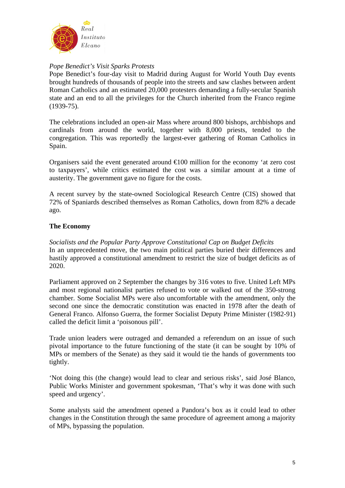

# *Pope Benedict's Visit Sparks Protests*

Pope Benedict's four-day visit to Madrid during August for World Youth Day events brought hundreds of thousands of people into the streets and saw clashes between ardent Roman Catholics and an estimated 20,000 protesters demanding a fully-secular Spanish state and an end to all the privileges for the Church inherited from the Franco regime (1939-75).

The celebrations included an open-air Mass where around 800 bishops, archbishops and cardinals from around the world, together with 8,000 priests, tended to the congregation. This was reportedly the largest-ever gathering of Roman Catholics in Spain.

Organisers said the event generated around  $\epsilon 00$  million for the economy 'at zero cost to taxpayers', while critics estimated the cost was a similar amount at a time of austerity. The government gave no figure for the costs.

A recent survey by the state-owned Sociological Research Centre (CIS) showed that 72% of Spaniards described themselves as Roman Catholics, down from 82% a decade ago.

## **The Economy**

*Socialists and the Popular Party Approve Constitutional Cap on Budget Deficits*  In an unprecedented move, the two main political parties buried their differences and hastily approved a constitutional amendment to restrict the size of budget deficits as of 2020.

Parliament approved on 2 September the changes by 316 votes to five. United Left MPs and most regional nationalist parties refused to vote or walked out of the 350-strong chamber. Some Socialist MPs were also uncomfortable with the amendment, only the second one since the democratic constitution was enacted in 1978 after the death of General Franco. Alfonso Guerra, the former Socialist Deputy Prime Minister (1982-91) called the deficit limit a 'poisonous pill'.

Trade union leaders were outraged and demanded a referendum on an issue of such pivotal importance to the future functioning of the state (it can be sought by 10% of MPs or members of the Senate) as they said it would tie the hands of governments too tightly.

'Not doing this (the change) would lead to clear and serious risks', said José Blanco, Public Works Minister and government spokesman, 'That's why it was done with such speed and urgency'.

Some analysts said the amendment opened a Pandora's box as it could lead to other changes in the Constitution through the same procedure of agreement among a majority of MPs, bypassing the population.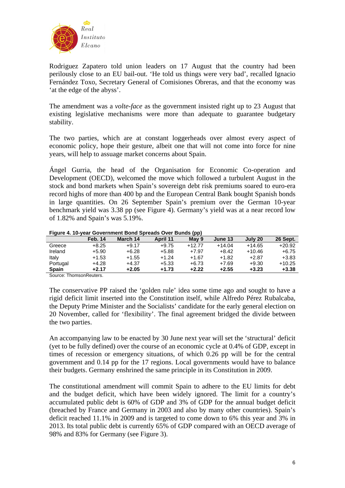

Rodriguez Zapatero told union leaders on 17 August that the country had been perilously close to an EU bail-out. 'He told us things were very bad', recalled Ignacio Fernández Toxo, Secretary General of Comisiones Obreras, and that the economy was 'at the edge of the abyss'.

The amendment was a *volte-face* as the government insisted right up to 23 August that existing legislative mechanisms were more than adequate to guarantee budgetary stability.

The two parties, which are at constant loggerheads over almost every aspect of economic policy, hope their gesture, albeit one that will not come into force for nine years, will help to assuage market concerns about Spain.

Ángel Gurria, the head of the Organisation for Economic Co-operation and Development (OECD), welcomed the move which followed a turbulent August in the stock and bond markets when Spain's sovereign debt risk premiums soared to euro-era record highs of more than 400 bp and the European Central Bank bought Spanish bonds in large quantities. On 26 September Spain's premium over the German 10-year benchmark yield was 3.38 pp (see Figure 4). Germany's yield was at a near record low of 1.82% and Spain's was 5.19%.

#### **Figure 4. 10-year Government Bond Spreads Over Bunds (pp)**

| <b>Feb. 14</b> | March 14 | April 11 | May 9    | June 13  | July 20  | <b>26 Sept.</b> |  |  |
|----------------|----------|----------|----------|----------|----------|-----------------|--|--|
| $+8.25$        | +9.17    | $+9.75$  | $+12.77$ | $+14.04$ | $+14.65$ | $+20.92$        |  |  |
| $+5.90$        | $+6.28$  | $+5.88$  | $+7.97$  | $+8.42$  | $+10.46$ | $+6.75$         |  |  |
| $+1.53$        | +1.55    | $+1.24$  | $+1.67$  | $+1.82$  | $+2.87$  | $+3.83$         |  |  |
| $+4.28$        | +4.37    | $+5.33$  | $+6.73$  | $+7.69$  | $+9.30$  | +10.25          |  |  |
| $+2.17$        | +2.05    | $+1.73$  | $+2.22$  | $+2.55$  | $+3.23$  | $+3.38$         |  |  |
|                |          |          |          |          |          |                 |  |  |

Source: ThomsonReuters.

The conservative PP raised the 'golden rule' idea some time ago and sought to have a rigid deficit limit inserted into the Constitution itself, while Alfredo Pérez Rubalcaba, the Deputy Prime Minister and the Socialists' candidate for the early general election on 20 November, called for 'flexibility'. The final agreement bridged the divide between the two parties.

An accompanying law to be enacted by 30 June next year will set the 'structural' deficit (yet to be fully defined) over the course of an economic cycle at 0.4% of GDP, except in times of recession or emergency situations, of which 0.26 pp will be for the central government and 0.14 pp for the 17 regions. Local governments would have to balance their budgets. Germany enshrined the same principle in its Constitution in 2009.

The constitutional amendment will commit Spain to adhere to the EU limits for debt and the budget deficit, which have been widely ignored. The limit for a country's accumulated public debt is 60% of GDP and 3% of GDP for the annual budget deficit (breached by France and Germany in 2003 and also by many other countries). Spain's deficit reached 11.1% in 2009 and is targeted to come down to 6% this year and 3% in 2013. Its total public debt is currently 65% of GDP compared with an OECD average of 98% and 83% for Germany (see Figure 3).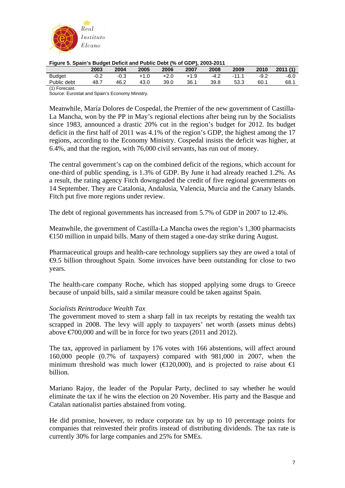

|  | Figure 5. Spain's Budget Deficit and Public Debt (% of GDP), 2003-2011 |
|--|------------------------------------------------------------------------|

|                        | 2003   | 2004   | 2005   | 2006   | 2007   | 2008   | 2009   | 2010   | 2011(1) |
|------------------------|--------|--------|--------|--------|--------|--------|--------|--------|---------|
| <b>Budget</b>          | $-0.2$ | $-0.3$ | $+1.0$ | $+2.0$ | $+1.9$ | $-4.2$ | $-111$ | $-9.2$ | $-6.0$  |
| Public debt            | 48.7   | 46.2   | 43.0   | 39.0   | 36.1   | 39.8   | 53.3   | 60.1   | 68.1    |
| $(4)$ $\Gamma$ ------- |        |        |        |        |        |        |        |        |         |

(1) Forecast.

Source: Eurostat and Spain's Economy Ministry.

Meanwhile, María Dolores de Cospedal, the Premier of the new government of Castilla-La Mancha, won by the PP in May's regional elections after being run by the Socialists since 1983, announced a drastic 20% cut in the region's budget for 2012. Its budget deficit in the first half of 2011 was 4.1% of the region's GDP, the highest among the 17 regions, according to the Economy Ministry. Cospedal insists the deficit was higher, at 6.4%, and that the region, with 76,000 civil servants, has run out of money.

The central government's cap on the combined deficit of the regions, which account for one-third of public spending, is 1.3% of GDP. By June it had already reached 1.2%. As a result, the rating agency Fitch downgraded the credit of five regional governments on 14 September. They are Catalonia, Andalusia, Valencia, Murcia and the Canary Islands. Fitch put five more regions under review.

The debt of regional governments has increased from 5.7% of GDP in 2007 to 12.4%.

Meanwhile, the government of Castilla-La Mancha owes the region's 1,300 pharmacists €150 million in unpaid bills. Many of them staged a one-day strike during August.

Pharmaceutical groups and health-care technology suppliers say they are owed a total of €9.5 billion throughout Spain. Some invoices have been outstanding for close to two years.

The health-care company Roche, which has stopped applying some drugs to Greece because of unpaid bills, said a similar measure could be taken against Spain.

## *Socialists Reintroduce Wealth Tax*

The government moved to stem a sharp fall in tax receipts by restating the wealth tax scrapped in 2008. The levy will apply to taxpayers' net worth (assets minus debts) above  $\epsilon$ 700,000 and will be in force for two years (2011 and 2012).

The tax, approved in parliament by 176 votes with 166 abstentions, will affect around 160,000 people (0.7% of taxpayers) compared with 981,000 in 2007, when the minimum threshold was much lower ( $\in$ 120,000), and is projected to raise about  $\in$ billion.

Mariano Rajoy, the leader of the Popular Party, declined to say whether he would eliminate the tax if he wins the election on 20 November. His party and the Basque and Catalan nationalist parties abstained from voting.

He did promise, however, to reduce corporate tax by up to 10 percentage points for companies that reinvested their profits instead of distributing dividends. The tax rate is currently 30% for large companies and 25% for SMEs.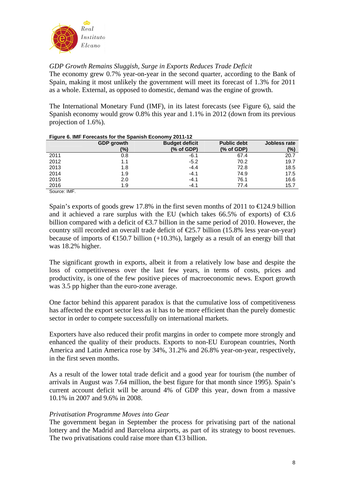

*GDP Growth Remains Sluggish, Surge in Exports Reduces Trade Deficit* 

The economy grew 0.7% year-on-year in the second quarter, according to the Bank of Spain, making it most unlikely the government will meet its forecast of 1.3% for 2011 as a whole. External, as opposed to domestic, demand was the engine of growth.

The International Monetary Fund (IMF), in its latest forecasts (see Figure 6), said the Spanish economy would grow 0.8% this year and 1.1% in 2012 (down from its previous projection of 1.6%).

|            | <b>The couple of the Television of the openion Economy 2011 IZ</b> |                       |                    |              |
|------------|--------------------------------------------------------------------|-----------------------|--------------------|--------------|
|            | <b>GDP</b> growth                                                  | <b>Budget deficit</b> | <b>Public debt</b> | Jobless rate |
|            | (%)                                                                | $%$ of GDP)           | $%$ of GDP)        | $(\%)$       |
| 2011       | 0.8                                                                | $-6.1$                | 67.4               | 20.7         |
| 2012       | 1.1                                                                | $-5.2$                | 70.2               | 19.7         |
| 2013       | 1.8                                                                | $-4.4$                | 72.8               | 18.5         |
| 2014       | 1.9                                                                | $-4.1$                | 74.9               | 17.5         |
| 2015       | 2.0                                                                | $-4.1$                | 76.1               | 16.6         |
| 2016       | 1.9                                                                | $-4.1$                | 77.4               | 15.7         |
| SOUICA IME |                                                                    |                       |                    |              |

#### **Figure 6. IMF Forecasts for the Spanish Economy 2011-12**

Spain's exports of goods grew 17.8% in the first seven months of 2011 to  $\bigoplus$  24.9 billion and it achieved a rare surplus with the EU (which takes 66.5% of exports) of  $\epsilon$ 3.6 billion compared with a deficit of  $\epsilon$ 3.7 billion in the same period of 2010. However, the country still recorded an overall trade deficit of  $E$ 5.7 billion (15.8% less year-on-year) because of imports of  $E$ 150.7 billion (+10.3%), largely as a result of an energy bill that was 18.2% higher.

The significant growth in exports, albeit it from a relatively low base and despite the loss of competitiveness over the last few years, in terms of costs, prices and productivity, is one of the few positive pieces of macroeconomic news. Export growth was 3.5 pp higher than the euro-zone average.

One factor behind this apparent paradox is that the cumulative loss of competitiveness has affected the export sector less as it has to be more efficient than the purely domestic sector in order to compete successfully on international markets.

Exporters have also reduced their profit margins in order to compete more strongly and enhanced the quality of their products. Exports to non-EU European countries, North America and Latin America rose by 34%, 31.2% and 26.8% year-on-year, respectively, in the first seven months.

As a result of the lower total trade deficit and a good year for tourism (the number of arrivals in August was 7.64 million, the best figure for that month since 1995). Spain's current account deficit will be around 4% of GDP this year, down from a massive 10.1% in 2007 and 9.6% in 2008.

## *Privatisation Programme Moves into Gear*

The government began in September the process for privatising part of the national lottery and the Madrid and Barcelona airports, as part of its strategy to boost revenues. The two privatisations could raise more than €13 billion.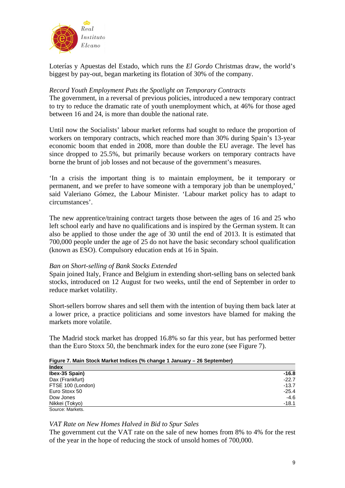

Loterías y Apuestas del Estado, which runs the *El Gordo* Christmas draw, the world's biggest by pay-out, began marketing its flotation of 30% of the company.

# *Record Youth Employment Puts the Spotlight on Temporary Contracts*

The government, in a reversal of previous policies, introduced a new temporary contract to try to reduce the dramatic rate of youth unemployment which, at 46% for those aged between 16 and 24, is more than double the national rate.

Until now the Socialists' labour market reforms had sought to reduce the proportion of workers on temporary contracts, which reached more than 30% during Spain's 13-year economic boom that ended in 2008, more than double the EU average. The level has since dropped to 25.5%, but primarily because workers on temporary contracts have borne the brunt of job losses and not because of the government's measures.

'In a crisis the important thing is to maintain employment, be it temporary or permanent, and we prefer to have someone with a temporary job than be unemployed,' said Valeriano Gómez, the Labour Minister. 'Labour market policy has to adapt to circumstances'.

The new apprentice/training contract targets those between the ages of 16 and 25 who left school early and have no qualifications and is inspired by the German system. It can also be applied to those under the age of 30 until the end of 2013. It is estimated that 700,000 people under the age of 25 do not have the basic secondary school qualification (known as ESO). Compulsory education ends at 16 in Spain.

## *Ban on Short-selling of Bank Stocks Extended*

Spain joined Italy, France and Belgium in extending short-selling bans on selected bank stocks, introduced on 12 August for two weeks, until the end of September in order to reduce market volatility.

Short-sellers borrow shares and sell them with the intention of buying them back later at a lower price, a practice politicians and some investors have blamed for making the markets more volatile.

The Madrid stock market has dropped 16.8% so far this year, but has performed better than the Euro Stoxx 50, the benchmark index for the euro zone (see Figure 7).

| <b>Index</b>      |         |
|-------------------|---------|
| Ibex-35 Spain)    | $-16.8$ |
| Dax (Frankfurt)   | $-22.7$ |
| FTSE 100 (London) | $-13.7$ |
| Euro Stoxx 50     | $-25.4$ |
| Dow Jones         | $-4.6$  |
| Nikkei (Tokyo)    | $-18.1$ |
| Source: Markets.  |         |

### **Figure 7. Main Stock Market Indices (% change 1 January – 26 September)**

## *VAT Rate on New Homes Halved in Bid to Spur Sales*

The government cut the VAT rate on the sale of new homes from 8% to 4% for the rest of the year in the hope of reducing the stock of unsold homes of 700,000.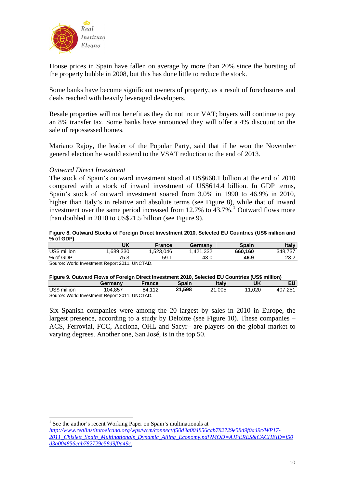<span id="page-9-0"></span>

House prices in Spain have fallen on average by more than 20% since the bursting of the property bubble in 2008, but this has done little to reduce the stock.

Some banks have become significant owners of property, as a result of foreclosures and deals reached with heavily leveraged developers.

Resale properties will not benefit as they do not incur VAT; buyers will continue to pay an 8% transfer tax. Some banks have announced they will offer a 4% discount on the sale of repossessed homes.

Mariano Rajoy, the leader of the Popular Party, said that if he won the November general election he would extend to the VSAT reduction to the end of 2013.

*Outward Direct Investment* 

The stock of Spain's outward investment stood at US\$660.1 billion at the end of 2010 compared with a stock of inward investment of US\$614.4 billion. In GDP terms, Spain's stock of outward investment soared from 3.0% in 1990 to 46.9% in 2010, higher than Italy's in relative and absolute terms (see Figure 8), while that of inward investment over the same period increased from  $12.7\%$  $12.7\%$  to  $43.7\%$ .<sup>1</sup> Outward flows more than doubled in 2010 to US\$21.5 billion (see Figure 9).

#### **Figure 8. Outward Stocks of Foreign Direct Investment 2010, Selected EU Countries (US\$ million and % of GDP)**

|              | UK                                                                                                                                       | <b>France</b> | Germanv  | <b>Spain</b> | Italy   |
|--------------|------------------------------------------------------------------------------------------------------------------------------------------|---------------|----------|--------------|---------|
| US\$ million | .689,330                                                                                                                                 | .523.046      | .421,332 | 660.160      | 348.737 |
| % of GDP     | 75.3                                                                                                                                     | 59.1          | 43.0     | 46.9         | 23.2    |
|              | $Q_{\text{total}}$ (M <sub>1</sub> -11 <sub>1</sub> ), $\ldots$ (C <sub>11</sub> ), $\ldots$ (D <sub>11</sub> ), $\ldots$ (OO44 (HNOTAD) |               |          |              |         |

Source: World Investment Report 2011, UNCTAD.

| Figure 9. Outward Flows of Foreign Direct Investment 2010, Selected EU Countries (US\$ million) |  |  |
|-------------------------------------------------------------------------------------------------|--|--|

|              | - -<br>Germanv                                | France | <b>Spain</b> | Italv  | UK   |         |
|--------------|-----------------------------------------------|--------|--------------|--------|------|---------|
| US\$ million | 104.857                                       | 84 112 | 21.598       | 21.005 | .020 | 407.251 |
|              | Source: World Investment Report 2011, UNCTAD. |        |              |        |      |         |

Six Spanish companies were among the 20 largest by sales in 2010 in Europe, the largest presence, according to a study by Deloitte (see Figure 10). These companies – ACS, Ferrovial, FCC, Acciona, OHL and Sacyr– are players on the global market to varying degrees. Another one, San José, is in the top 50.

<sup>&</sup>lt;sup>1</sup> See the author's recent Working Paper on Spain's multinationals at

*[http://www.realinstitutoelcano.org/wps/wcm/connect/f50d3a004856cab782729e58d9f0a49c/WP17-](http://www.realinstitutoelcano.org/wps/wcm/connect/f50d3a004856cab782729e58d9f0a49c/WP17-2011_Chislett_Spain_Multinationals_Dynamic_Ailing_Economy.pdf?MOD=AJPERES&CACHEID=f50d3a004856cab782729e58d9f0a49c) [2011\\_Chislett\\_Spain\\_Multinationals\\_Dynamic\\_Ailing\\_Economy.pdf?MOD=AJPERES&CACHEID=f50](http://www.realinstitutoelcano.org/wps/wcm/connect/f50d3a004856cab782729e58d9f0a49c/WP17-2011_Chislett_Spain_Multinationals_Dynamic_Ailing_Economy.pdf?MOD=AJPERES&CACHEID=f50d3a004856cab782729e58d9f0a49c) [d3a004856cab782729e58d9f0a49c](http://www.realinstitutoelcano.org/wps/wcm/connect/f50d3a004856cab782729e58d9f0a49c/WP17-2011_Chislett_Spain_Multinationals_Dynamic_Ailing_Economy.pdf?MOD=AJPERES&CACHEID=f50d3a004856cab782729e58d9f0a49c).*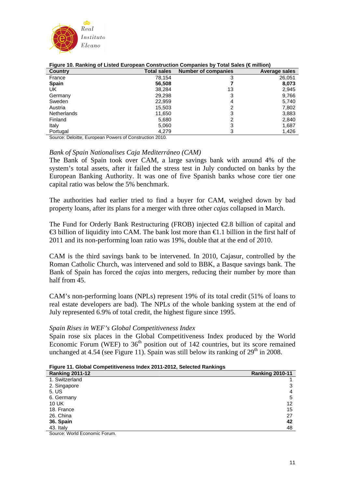

| .<br>- -<br>Country | <b>Total sales</b> | <b>Number of companies</b> | Average sales |
|---------------------|--------------------|----------------------------|---------------|
| France              | 78,154             |                            | 26,051        |
| <b>Spain</b>        | 56,508             |                            | 8,073         |
| UK                  | 38,284             | 13                         | 2,945         |
| Germany             | 29,298             | 3                          | 9,766         |
| Sweden              | 22,959             | 4                          | 5,740         |
| Austria             | 15,503             | っ                          | 7,802         |
| <b>Netherlands</b>  | 11,650             | 3                          | 3,883         |
| Finland             | 5,680              | っ                          | 2,840         |
| Italy               | 5,060              | 3                          | 1,687         |
| Portugal            | 4,279              | 3                          | 1,426         |

#### **Figure 10. Ranking of Listed European Construction Companies by Total Sales (€ million)**

Source: Deloitte, European Powers of Construction 2010.

### *Bank of Spain Nationalises Caja Mediterráneo (CAM)*

The Bank of Spain took over CAM, a large savings bank with around 4% of the system's total assets, after it failed the stress test in July conducted on banks by the European Banking Authority. It was one of five Spanish banks whose core tier one capital ratio was below the 5% benchmark.

The authorities had earlier tried to find a buyer for CAM, weighed down by bad property loans, after its plans for a merger with three other *cajas* collapsed in March.

The Fund for Orderly Bank Restructuring (FROB) injected  $\epsilon$ 2.8 billion of capital and  $\triangle$ 3 billion of liquidity into CAM. The bank lost more than  $\triangle$ 1.1 billion in the first half of 2011 and its non-performing loan ratio was 19%, double that at the end of 2010.

CAM is the third savings bank to be intervened. In 2010, Cajasur, controlled by the Roman Catholic Church, was intervened and sold to BBK, a Basque savings bank. The Bank of Spain has forced the *cajas* into mergers, reducing their number by more than half from 45.

CAM's non-performing loans (NPLs) represent 19% of its total credit (51% of loans to real estate developers are bad). The NPLs of the whole banking system at the end of July represented 6.9% of total credit, the highest figure since 1995.

### *Spain Rises in WEF's Global Competitiveness Index*

Spain rose six places in the Global Competitiveness Index produced by the World Economic Forum (WEF) to  $36<sup>th</sup>$  position out of 142 countries, but its score remained unchanged at 4.54 (see Figure 11). Spain was still below its ranking of  $29<sup>th</sup>$  in 2008.

|  |  |  |  | Figure 11. Global Competitiveness Index 2011-2012, Selected Rankings |
|--|--|--|--|----------------------------------------------------------------------|
|--|--|--|--|----------------------------------------------------------------------|

| <b>Tigalo TT. Olobal Oblilpotitiveness much zo IT zo Iz, ocicettu Railwirgs</b> |                        |  |  |
|---------------------------------------------------------------------------------|------------------------|--|--|
| <b>Ranking 2011-12</b>                                                          | <b>Ranking 2010-11</b> |  |  |
| 1. Switzerland                                                                  |                        |  |  |
| 2. Singapore                                                                    | 3                      |  |  |
| 5. US                                                                           | 4                      |  |  |
| 6. Germany                                                                      | 5                      |  |  |
| 10 UK                                                                           | 12                     |  |  |
| 18. France                                                                      | 15                     |  |  |
| 26. China                                                                       | 27                     |  |  |
| 36. Spain                                                                       | 42                     |  |  |
| 43. Italy                                                                       | 48                     |  |  |
|                                                                                 |                        |  |  |

Source: World Economic Forum.